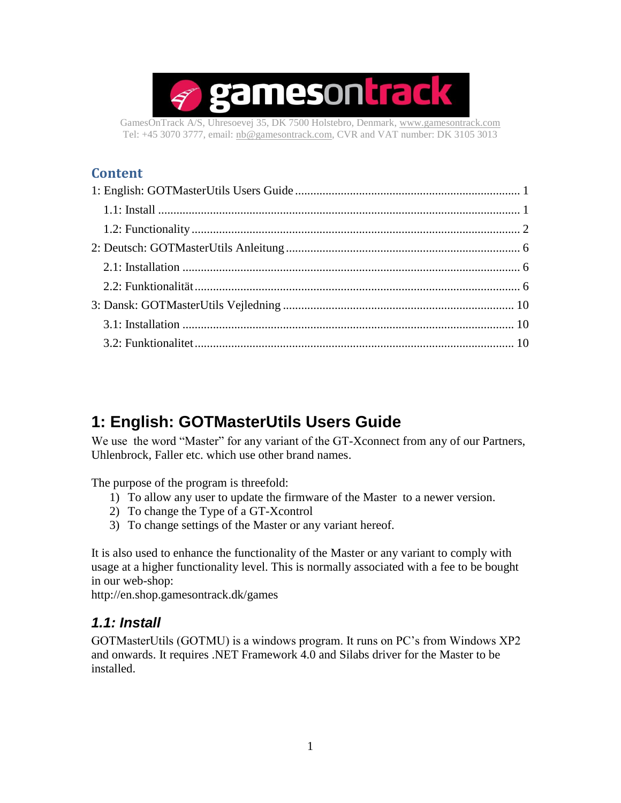

GamesOnTrack A/S, Uhresoevej 35, DK 7500 Holstebro, Denmark, [www.gamesontrack.com](http://www.gamesontrack.com/) Tel: +45 3070 3777, email: [nb@gamesontrack.com,](mailto:nb@gamesontrack.com) CVR and VAT number: DK 3105 3013

#### **Content**

# <span id="page-0-0"></span>**1: English: GOTMasterUtils Users Guide**

We use the word "Master" for any variant of the GT-Xconnect from any of our Partners, Uhlenbrock, Faller etc. which use other brand names.

The purpose of the program is threefold:

- 1) To allow any user to update the firmware of the Master to a newer version.
- 2) To change the Type of a GT-Xcontrol
- 3) To change settings of the Master or any variant hereof.

It is also used to enhance the functionality of the Master or any variant to comply with usage at a higher functionality level. This is normally associated with a fee to be bought in our web-shop:

<span id="page-0-1"></span>http://en.shop.gamesontrack.dk/games

#### *1.1: Install*

GOTMasterUtils (GOTMU) is a windows program. It runs on PC's from Windows XP2 and onwards. It requires .NET Framework 4.0 and Silabs driver for the Master to be installed.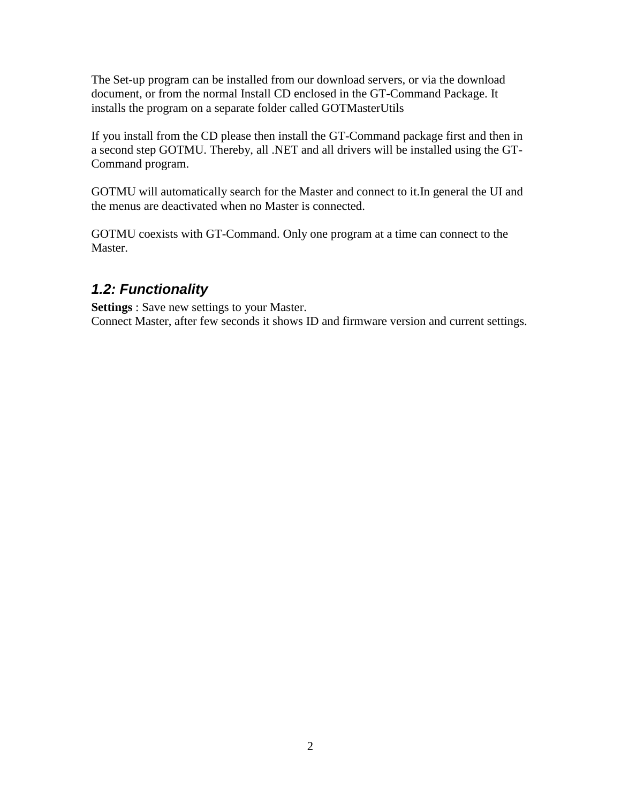The Set-up program can be installed from our download servers, or via the download document, or from the normal Install CD enclosed in the GT-Command Package. It installs the program on a separate folder called GOTMasterUtils

If you install from the CD please then install the GT-Command package first and then in a second step GOTMU. Thereby, all .NET and all drivers will be installed using the GT-Command program.

GOTMU will automatically search for the Master and connect to it.In general the UI and the menus are deactivated when no Master is connected.

GOTMU coexists with GT-Command. Only one program at a time can connect to the Master.

## <span id="page-1-0"></span>*1.2: Functionality*

**Settings** : Save new settings to your Master. Connect Master, after few seconds it shows ID and firmware version and current settings.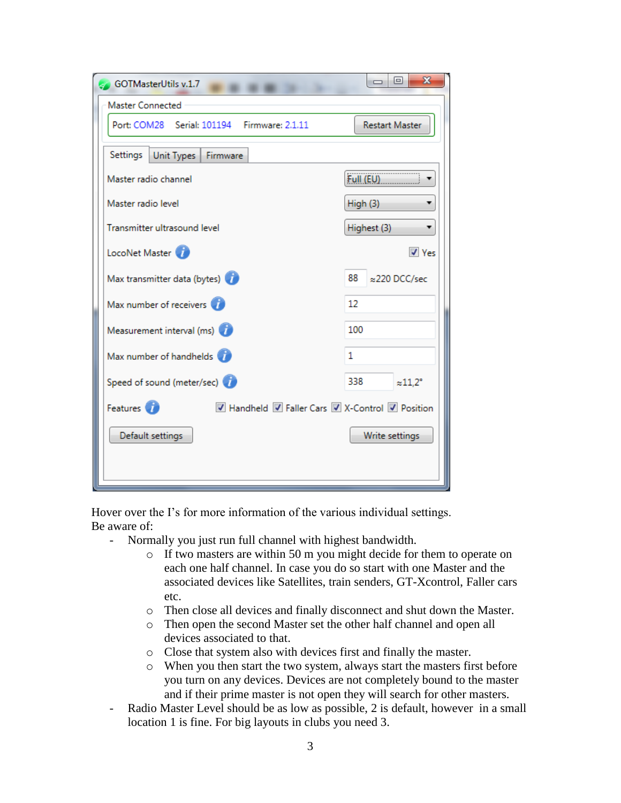| GOTMasterUtils v.1.7                                                     | х<br>同<br>$\Box$                 |
|--------------------------------------------------------------------------|----------------------------------|
| Master Connected                                                         |                                  |
| Port: COM28 Serial: 101194 Firmware: 2.1.11                              | <b>Restart Master</b>            |
| Settings<br>Unit Types<br>Firmware                                       |                                  |
| Master radio channel                                                     | Full (EU)                        |
| Master radio level                                                       | High (3)                         |
| Transmitter ultrasound level                                             | Highest (3)                      |
| LocoNet Master                                                           | $\sqrt{ }$ Yes                   |
| Max transmitter data (bytes)                                             | 88<br>≈220 DCC/sec               |
| Max number of receivers                                                  | 12                               |
| Measurement interval (ms)                                                | 100                              |
| Max number of handhelds                                                  | 1                                |
| Speed of sound (meter/sec)                                               | 338<br>$\approx$ 11.2 $^{\circ}$ |
| Features <sup>1</sup><br>■ Handheld ■ Faller Cars ■ X-Control ■ Position |                                  |
| Default settings                                                         | Write settings                   |
|                                                                          |                                  |
|                                                                          |                                  |

Hover over the I's for more information of the various individual settings. Be aware of:

- Normally you just run full channel with highest bandwidth.
	- o If two masters are within 50 m you might decide for them to operate on each one half channel. In case you do so start with one Master and the associated devices like Satellites, train senders, GT-Xcontrol, Faller cars etc.
	- o Then close all devices and finally disconnect and shut down the Master.
	- o Then open the second Master set the other half channel and open all devices associated to that.
	- o Close that system also with devices first and finally the master.
	- o When you then start the two system, always start the masters first before you turn on any devices. Devices are not completely bound to the master and if their prime master is not open they will search for other masters.
- Radio Master Level should be as low as possible, 2 is default, however in a small location 1 is fine. For big layouts in clubs you need 3.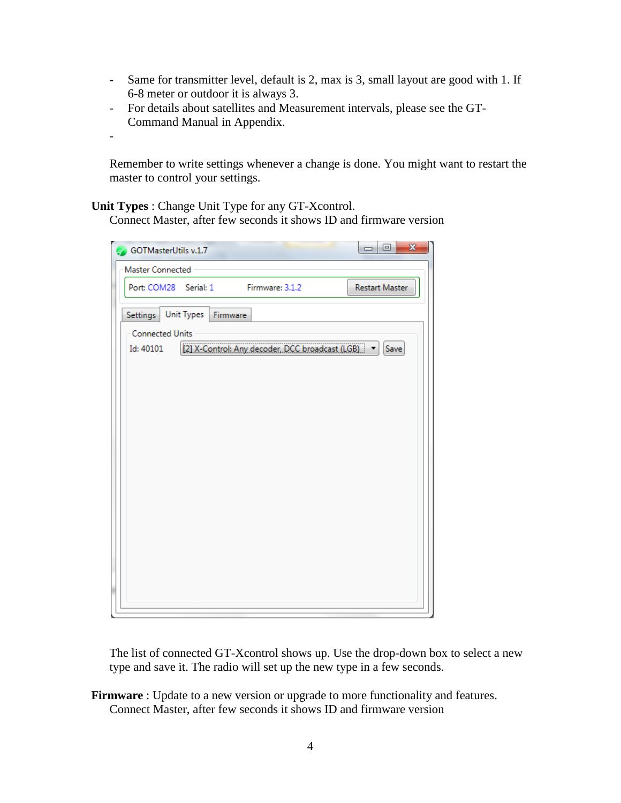- Same for transmitter level, default is 2, max is 3, small layout are good with 1. If 6-8 meter or outdoor it is always 3.
- For details about satellites and Measurement intervals, please see the GT-Command Manual in Appendix.
- -

Remember to write settings whenever a change is done. You might want to restart the master to control your settings.

**Unit Types** : Change Unit Type for any GT-Xcontrol.

Connect Master, after few seconds it shows ID and firmware version

| GOTMasterUtils v.1.7                                             | $\mathbf{x}$<br>$=$ $\boxed{0}$ |
|------------------------------------------------------------------|---------------------------------|
| Master Connected                                                 |                                 |
| Port: COM28 Serial: 1 Firmware: 3.1.2                            | <b>Restart Master</b>           |
| Settings   Unit Types   Firmware                                 |                                 |
| <b>Connected Units</b>                                           |                                 |
| [2] X-Control: Any decoder, DCC broadcast (LGB)   v<br>Id: 40101 | Save                            |
|                                                                  |                                 |
|                                                                  |                                 |
|                                                                  |                                 |
|                                                                  |                                 |

The list of connected GT-Xcontrol shows up. Use the drop-down box to select a new type and save it. The radio will set up the new type in a few seconds.

**Firmware** : Update to a new version or upgrade to more functionality and features. Connect Master, after few seconds it shows ID and firmware version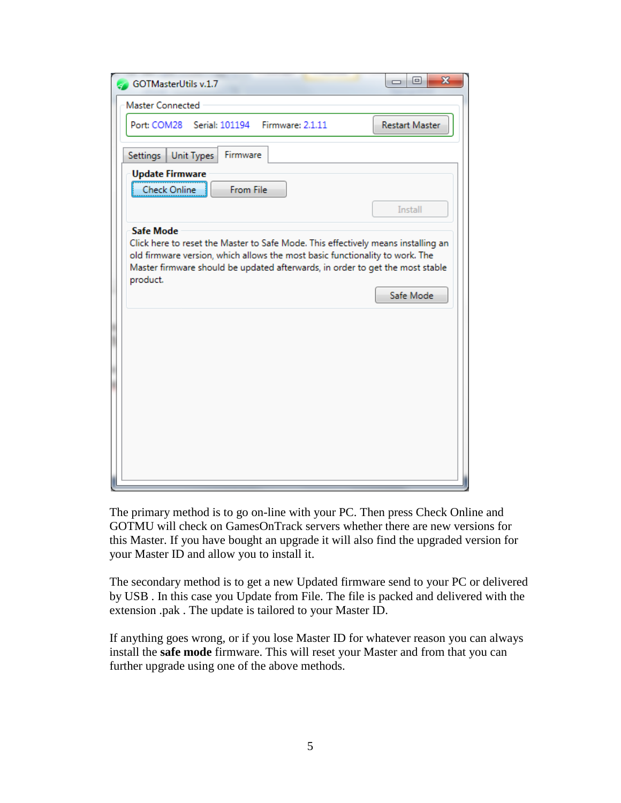| $\mathbf{x}$<br>叵<br>GOTMasterUtils v.1.7<br>-                                                                                                                                                                                                                                                  |
|-------------------------------------------------------------------------------------------------------------------------------------------------------------------------------------------------------------------------------------------------------------------------------------------------|
| <b>Master Connected</b>                                                                                                                                                                                                                                                                         |
| Port: COM28 Serial: 101194 Firmware: 2.1.11<br><b>Restart Master</b>                                                                                                                                                                                                                            |
| Firmware<br>Settings<br>Unit Types                                                                                                                                                                                                                                                              |
| <b>Update Firmware</b><br><b>Check Online</b><br>From File<br><b>Install</b>                                                                                                                                                                                                                    |
| <b>Safe Mode</b><br>Click here to reset the Master to Safe Mode. This effectively means installing an<br>old firmware version, which allows the most basic functionality to work. The<br>Master firmware should be updated afterwards, in order to get the most stable<br>product.<br>Safe Mode |
|                                                                                                                                                                                                                                                                                                 |
|                                                                                                                                                                                                                                                                                                 |
|                                                                                                                                                                                                                                                                                                 |

The primary method is to go on-line with your PC. Then press Check Online and GOTMU will check on GamesOnTrack servers whether there are new versions for this Master. If you have bought an upgrade it will also find the upgraded version for your Master ID and allow you to install it.

The secondary method is to get a new Updated firmware send to your PC or delivered by USB . In this case you Update from File. The file is packed and delivered with the extension .pak . The update is tailored to your Master ID.

If anything goes wrong, or if you lose Master ID for whatever reason you can always install the **safe mode** firmware. This will reset your Master and from that you can further upgrade using one of the above methods.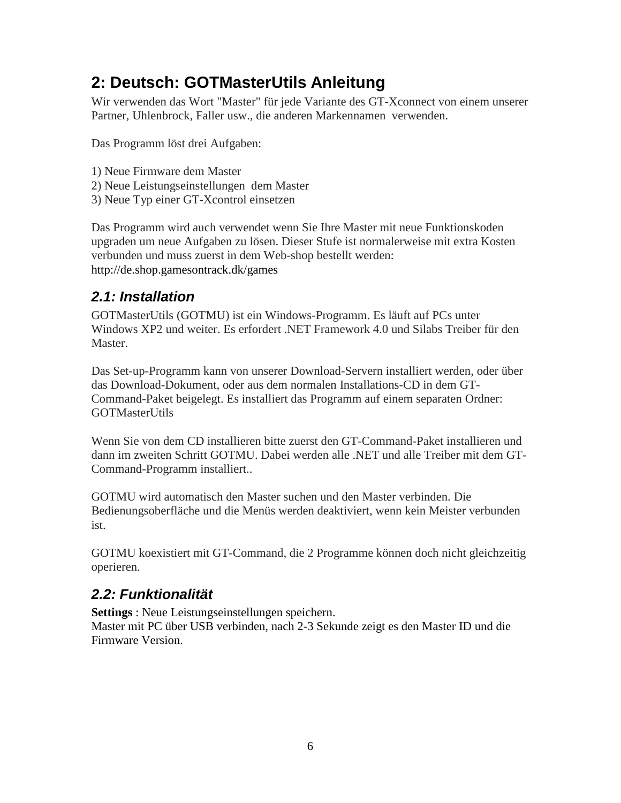# <span id="page-5-0"></span>**2: Deutsch: GOTMasterUtils Anleitung**

Wir verwenden das Wort "Master" für jede Variante des GT-Xconnect von einem unserer Partner, Uhlenbrock, Faller usw., die anderen Markennamen verwenden.

Das Programm löst drei Aufgaben:

- 1) Neue Firmware dem Master
- 2) Neue Leistungseinstellungen dem Master
- 3) Neue Typ einer GT-Xcontrol einsetzen

Das Programm wird auch verwendet wenn Sie Ihre Master mit neue Funktionskoden upgraden um neue Aufgaben zu lösen. Dieser Stufe ist normalerweise mit extra Kosten verbunden und muss zuerst in dem Web-shop bestellt werden: http://de.shop.gamesontrack.dk/games

## <span id="page-5-1"></span>*2.1: Installation*

GOTMasterUtils (GOTMU) ist ein Windows-Programm. Es läuft auf PCs unter Windows XP2 und weiter. Es erfordert .NET Framework 4.0 und Silabs Treiber für den Master.

Das Set-up-Programm kann von unserer Download-Servern installiert werden, oder über das Download-Dokument, oder aus dem normalen Installations-CD in dem GT-Command-Paket beigelegt. Es installiert das Programm auf einem separaten Ordner: GOTMasterUtils

Wenn Sie von dem CD installieren bitte zuerst den GT-Command-Paket installieren und dann im zweiten Schritt GOTMU. Dabei werden alle .NET und alle Treiber mit dem GT-Command-Programm installiert..

GOTMU wird automatisch den Master suchen und den Master verbinden. Die Bedienungsoberfläche und die Menüs werden deaktiviert, wenn kein Meister verbunden ist.

GOTMU koexistiert mit GT-Command, die 2 Programme können doch nicht gleichzeitig operieren.

## <span id="page-5-2"></span>*2.2: Funktionalität*

**Settings** : Neue Leistungseinstellungen speichern. Master mit PC über USB verbinden, nach 2-3 Sekunde zeigt es den Master ID und die Firmware Version.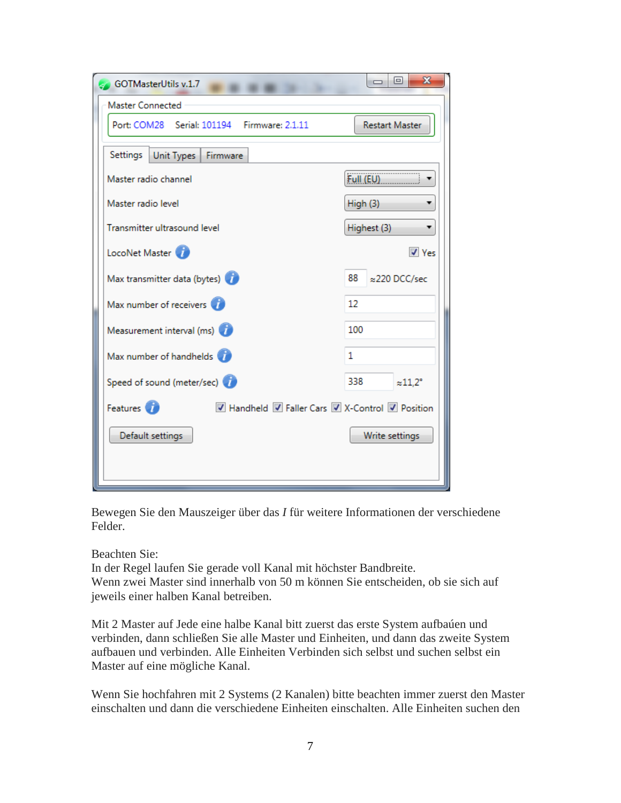| GOTMasterUtils v.1.7                                                     | x<br>同<br>$\equiv$               |
|--------------------------------------------------------------------------|----------------------------------|
| Master Connected                                                         |                                  |
| Port: COM28 Serial: 101194 Firmware: 2.1.11                              | <b>Restart Master</b>            |
| Settings<br>Unit Types<br>Firmware                                       |                                  |
| Master radio channel                                                     | Full (EU)                        |
| Master radio level                                                       | High (3)                         |
| Transmitter ultrasound level                                             | Highest (3)                      |
| LocoNet Master                                                           | $\sqrt{ }$ Yes                   |
| Max transmitter data (bytes)                                             | 88<br>≈220 DCC/sec               |
| Max number of receivers                                                  | 12                               |
| Measurement interval (ms)                                                | 100                              |
| Max number of handhelds                                                  | 1                                |
| Speed of sound (meter/sec)                                               | 338<br>$\approx$ 11.2 $^{\circ}$ |
| Features <sup>1</sup><br>■ Handheld ■ Faller Cars ■ X-Control ■ Position |                                  |
| Default settings                                                         | Write settings                   |
|                                                                          |                                  |
|                                                                          |                                  |

Bewegen Sie den Mauszeiger über das *I* für weitere Informationen der verschiedene Felder.

Beachten Sie:

In der Regel laufen Sie gerade voll Kanal mit höchster Bandbreite. Wenn zwei Master sind innerhalb von 50 m können Sie entscheiden, ob sie sich auf jeweils einer halben Kanal betreiben.

Mit 2 Master auf Jede eine halbe Kanal bitt zuerst das erste System aufbaúen und verbinden, dann schließen Sie alle Master und Einheiten, und dann das zweite System aufbauen und verbinden. Alle Einheiten Verbinden sich selbst und suchen selbst ein Master auf eine mögliche Kanal.

Wenn Sie hochfahren mit 2 Systems (2 Kanalen) bitte beachten immer zuerst den Master einschalten und dann die verschiedene Einheiten einschalten. Alle Einheiten suchen den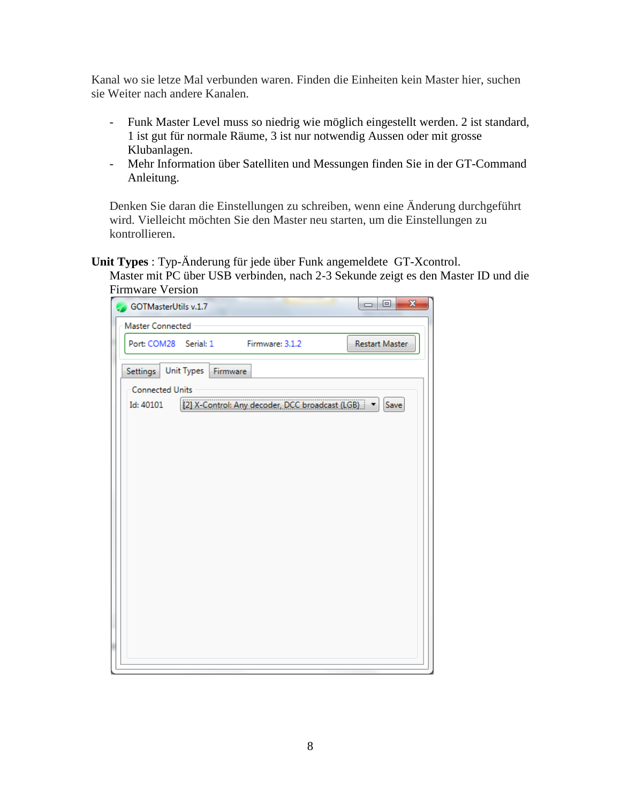Kanal wo sie letze Mal verbunden waren. Finden die Einheiten kein Master hier, suchen sie Weiter nach andere Kanalen.

- Funk Master Level muss so niedrig wie möglich eingestellt werden. 2 ist standard, 1 ist gut für normale Räume, 3 ist nur notwendig Aussen oder mit grosse Klubanlagen.
- Mehr Information über Satelliten und Messungen finden Sie in der GT-Command Anleitung.

Denken Sie daran die Einstellungen zu schreiben, wenn eine Änderung durchgeführt wird. Vielleicht möchten Sie den Master neu starten, um die Einstellungen zu kontrollieren.

**Unit Types** : Typ-Änderung für jede über Funk angemeldete GT-Xcontrol.

Master mit PC über USB verbinden, nach 2-3 Sekunde zeigt es den Master ID und die Firmware Version

| Master Connected       |                       |                                                     |                |
|------------------------|-----------------------|-----------------------------------------------------|----------------|
|                        | Port: COM28 Serial: 1 | Firmware: 3.1.2                                     | Restart Master |
| Settings               | Unit Types Firmware   |                                                     |                |
| <b>Connected Units</b> |                       |                                                     |                |
| Id: 40101              |                       | [2] X-Control: Any decoder, DCC broadcast (LGB)   v | Save           |
|                        |                       |                                                     |                |
|                        |                       |                                                     |                |
|                        |                       |                                                     |                |
|                        |                       |                                                     |                |
|                        |                       |                                                     |                |
|                        |                       |                                                     |                |
|                        |                       |                                                     |                |
|                        |                       |                                                     |                |
|                        |                       |                                                     |                |
|                        |                       |                                                     |                |
|                        |                       |                                                     |                |
|                        |                       |                                                     |                |
|                        |                       |                                                     |                |
|                        |                       |                                                     |                |
|                        |                       |                                                     |                |
|                        |                       |                                                     |                |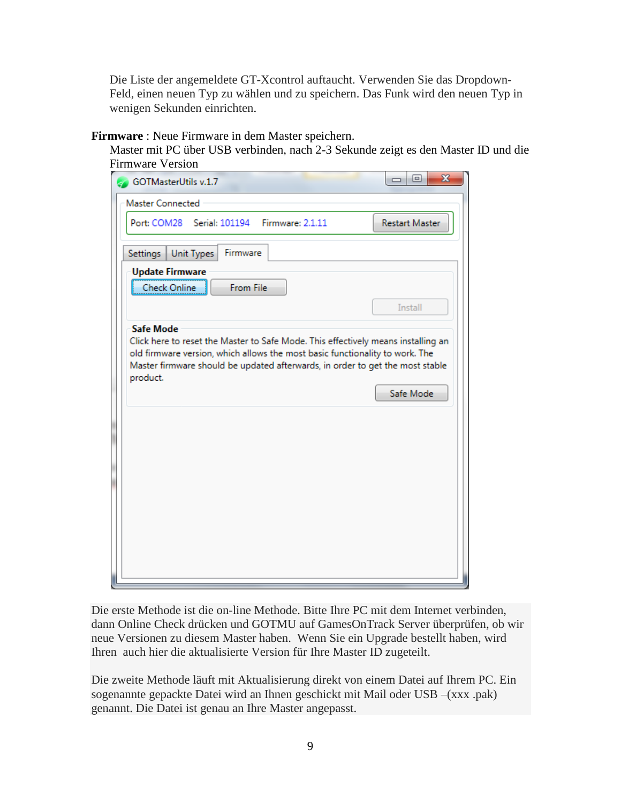Die Liste der angemeldete GT-Xcontrol auftaucht. Verwenden Sie das Dropdown-Feld, einen neuen Typ zu wählen und zu speichern. Das Funk wird den neuen Typ in wenigen Sekunden einrichten.

**Firmware** : Neue Firmware in dem Master speichern.

Master mit PC über USB verbinden, nach 2-3 Sekunde zeigt es den Master ID und die Firmware Version

| GOTMasterUtils v.1.7                                                                                                                                                                                                                                                               | X<br>▣<br>0           |
|------------------------------------------------------------------------------------------------------------------------------------------------------------------------------------------------------------------------------------------------------------------------------------|-----------------------|
| <b>Master Connected</b>                                                                                                                                                                                                                                                            |                       |
| Port: COM28 Serial: 101194 Firmware: 2.1.11                                                                                                                                                                                                                                        | <b>Restart Master</b> |
| Firmware<br>Settings<br>Unit Types                                                                                                                                                                                                                                                 |                       |
| <b>Update Firmware</b><br>Check Online<br>From File                                                                                                                                                                                                                                |                       |
|                                                                                                                                                                                                                                                                                    | <b>Install</b>        |
| <b>Safe Mode</b><br>Click here to reset the Master to Safe Mode. This effectively means installing an<br>old firmware version, which allows the most basic functionality to work. The<br>Master firmware should be updated afterwards, in order to get the most stable<br>product. | Safe Mode             |
|                                                                                                                                                                                                                                                                                    |                       |
|                                                                                                                                                                                                                                                                                    |                       |
|                                                                                                                                                                                                                                                                                    |                       |
|                                                                                                                                                                                                                                                                                    |                       |
|                                                                                                                                                                                                                                                                                    |                       |
|                                                                                                                                                                                                                                                                                    |                       |

Die erste Methode ist die on-line Methode. Bitte Ihre PC mit dem Internet verbinden, dann Online Check drücken und GOTMU auf GamesOnTrack Server überprüfen, ob wir neue Versionen zu diesem Master haben. Wenn Sie ein Upgrade bestellt haben, wird Ihren auch hier die aktualisierte Version für Ihre Master ID zugeteilt.

Die zweite Methode läuft mit Aktualisierung direkt von einem Datei auf Ihrem PC. Ein sogenannte gepackte Datei wird an Ihnen geschickt mit Mail oder USB –(xxx .pak) genannt. Die Datei ist genau an Ihre Master angepasst.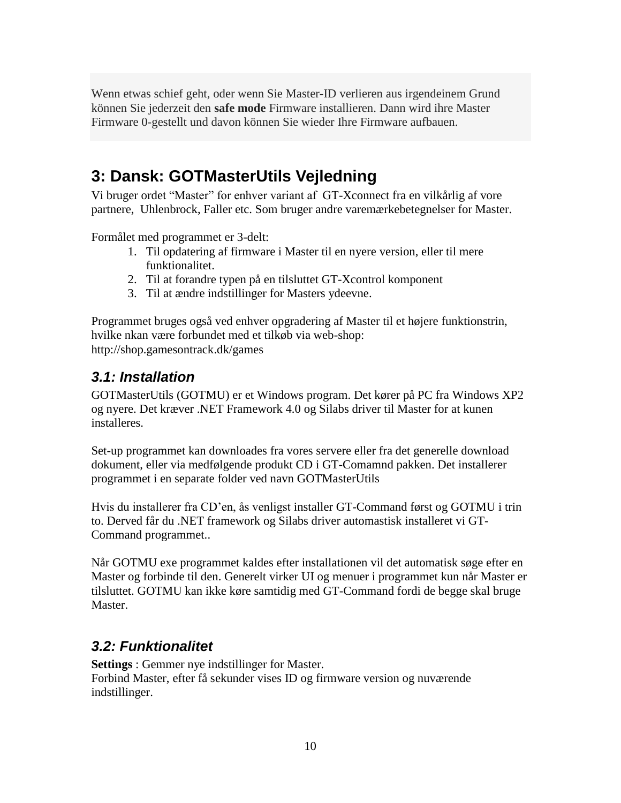Wenn etwas schief geht, oder wenn Sie Master-ID verlieren aus irgendeinem Grund können Sie jederzeit den **safe mode** Firmware installieren. Dann wird ihre Master Firmware 0-gestellt und davon können Sie wieder Ihre Firmware aufbauen.

## <span id="page-9-0"></span>**3: Dansk: GOTMasterUtils Vejledning**

Vi bruger ordet "Master" for enhver variant af GT-Xconnect fra en vilkårlig af vore partnere, Uhlenbrock, Faller etc. Som bruger andre varemærkebetegnelser for Master.

Formålet med programmet er 3-delt:

- 1. Til opdatering af firmware i Master til en nyere version, eller til mere funktionalitet.
- 2. Til at forandre typen på en tilsluttet GT-Xcontrol komponent
- 3. Til at ændre indstillinger for Masters ydeevne.

Programmet bruges også ved enhver opgradering af Master til et højere funktionstrin, hvilke nkan være forbundet med et tilkøb via web-shop: http://shop.gamesontrack.dk/games

#### <span id="page-9-1"></span>*3.1: Installation*

GOTMasterUtils (GOTMU) er et Windows program. Det kører på PC fra Windows XP2 og nyere. Det kræver .NET Framework 4.0 og Silabs driver til Master for at kunen installeres.

Set-up programmet kan downloades fra vores servere eller fra det generelle download dokument, eller via medfølgende produkt CD i GT-Comamnd pakken. Det installerer programmet i en separate folder ved navn GOTMasterUtils

Hvis du installerer fra CD'en, ås venligst installer GT-Command først og GOTMU i trin to. Derved får du .NET framework og Silabs driver automastisk installeret vi GT-Command programmet..

Når GOTMU exe programmet kaldes efter installationen vil det automatisk søge efter en Master og forbinde til den. Generelt virker UI og menuer i programmet kun når Master er tilsluttet. GOTMU kan ikke køre samtidig med GT-Command fordi de begge skal bruge Master.

#### <span id="page-9-2"></span>*3.2: Funktionalitet*

**Settings** : Gemmer nye indstillinger for Master. Forbind Master, efter få sekunder vises ID og firmware version og nuværende indstillinger.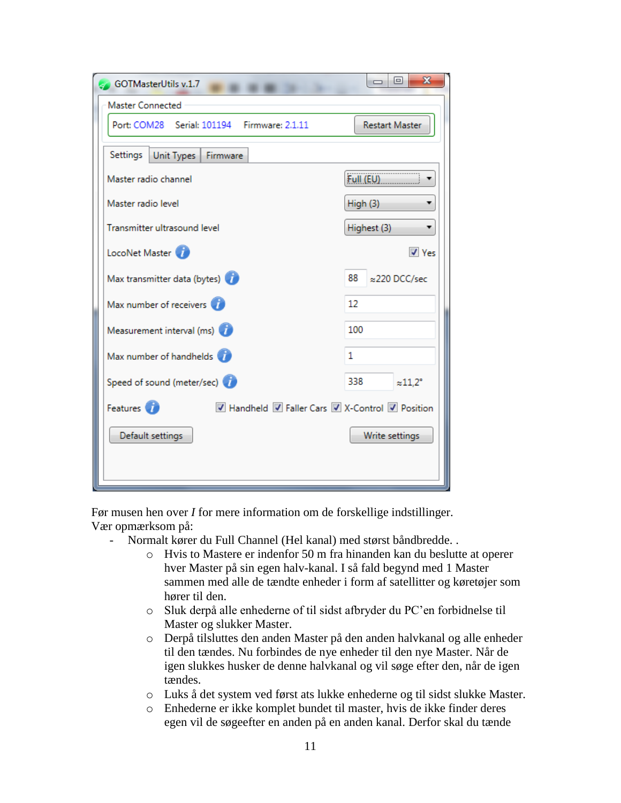| GOTMasterUtils v.1.7                                                       | х<br>▣<br>0                      |
|----------------------------------------------------------------------------|----------------------------------|
| Master Connected                                                           |                                  |
| Port: COM28 Serial: 101194 Firmware: 2.1.11                                | <b>Restart Master</b>            |
| Settings<br>Unit Types<br>Firmware                                         |                                  |
| Master radio channel                                                       | Full (EU)                        |
| Master radio level                                                         | High (3)                         |
| Transmitter ultrasound level                                               | Highest (3)                      |
| LocoNet Master                                                             | $\triangledown$ Yes              |
| Max transmitter data (bytes)                                               | 88<br>≈220 DCC/sec               |
| Max number of receivers                                                    | 12                               |
| Measurement interval (ms)                                                  | 100                              |
| Max number of handhelds                                                    | 1.                               |
| Speed of sound (meter/sec)                                                 | 338<br>$\approx$ 11,2 $^{\circ}$ |
| Features <sup>(2)</sup><br>■ Handheld ■ Faller Cars ■ X-Control ■ Position |                                  |
| Default settings                                                           | Write settings                   |
|                                                                            |                                  |
|                                                                            |                                  |

Før musen hen over *I* for mere information om de forskellige indstillinger. Vær opmærksom på:

- Normalt kører du Full Channel (Hel kanal) med størst båndbredde. .
	- o Hvis to Mastere er indenfor 50 m fra hinanden kan du beslutte at operer hver Master på sin egen halv-kanal. I så fald begynd med 1 Master sammen med alle de tændte enheder i form af satellitter og køretøjer som hører til den.
	- o Sluk derpå alle enhederne of til sidst afbryder du PC'en forbidnelse til Master og slukker Master.
	- o Derpå tilsluttes den anden Master på den anden halvkanal og alle enheder til den tændes. Nu forbindes de nye enheder til den nye Master. Når de igen slukkes husker de denne halvkanal og vil søge efter den, når de igen tændes.
	- o Luks å det system ved først ats lukke enhederne og til sidst slukke Master.
	- o Enhederne er ikke komplet bundet til master, hvis de ikke finder deres egen vil de søgeefter en anden på en anden kanal. Derfor skal du tænde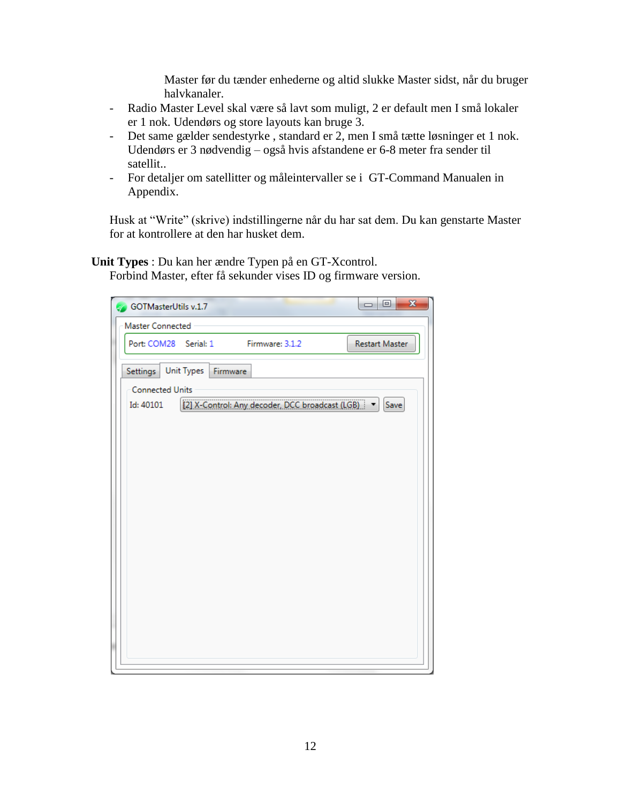Master før du tænder enhederne og altid slukke Master sidst, når du bruger halvkanaler.

- Radio Master Level skal være så lavt som muligt, 2 er default men I små lokaler er 1 nok. Udendørs og store layouts kan bruge 3.
- Det same gælder sendestyrke , standard er 2, men I små tætte løsninger et 1 nok. Udendørs er 3 nødvendig – også hvis afstandene er 6-8 meter fra sender til satellit..
- For detaljer om satellitter og måleintervaller se i GT-Command Manualen in Appendix.

Husk at "Write" (skrive) indstillingerne når du har sat dem. Du kan genstarte Master for at kontrollere at den har husket dem.

**Unit Types** : Du kan her ændre Typen på en GT-Xcontrol.

Forbind Master, efter få sekunder vises ID og firmware version.

| $\mathbf{x}$<br>$=$ $\boxed{0}$<br>GOTMasterUtils v.1.7                  |
|--------------------------------------------------------------------------|
| Master Connected                                                         |
| Port: COM28 Serial: 1<br>Restart Master<br>Firmware: 3.1.2               |
| Settings   Unit Types   Firmware                                         |
| <b>Connected Units</b>                                                   |
| [2] X-Control: Any decoder, DCC broadcast (LGB)   v<br>Save<br>Id: 40101 |
|                                                                          |
|                                                                          |
|                                                                          |
|                                                                          |
|                                                                          |
|                                                                          |
|                                                                          |
|                                                                          |
|                                                                          |
|                                                                          |
|                                                                          |
|                                                                          |
|                                                                          |
|                                                                          |
|                                                                          |
|                                                                          |
|                                                                          |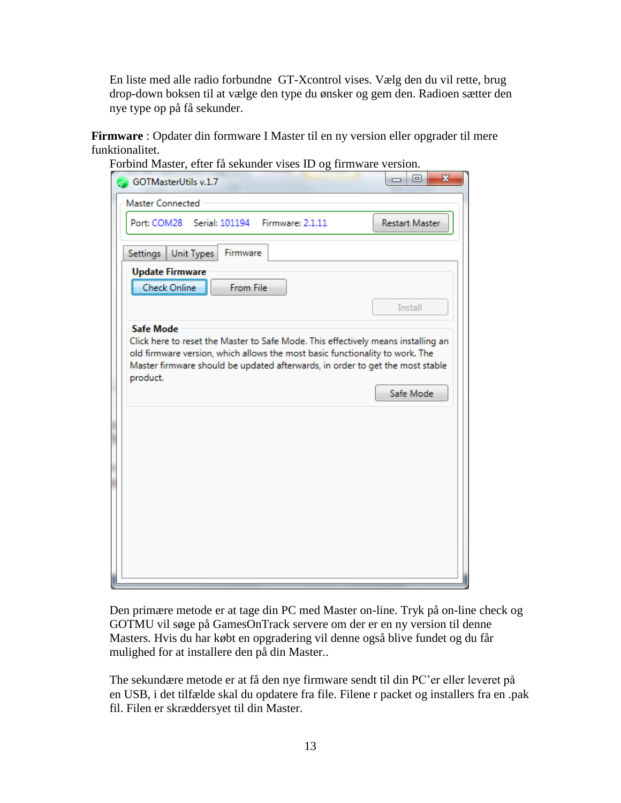En liste med alle radio forbundne GT-Xcontrol vises. Vælg den du vil rette, brug drop-down boksen til at vælge den type du ønsker og gem den. Radioen sætter den nye type op på få sekunder.

**Firmware** : Opdater din formware I Master til en ny version eller opgrader til mere funktionalitet.

| <b>GOTMasterUtils v.1.7</b>                                                  |                   |           |  | $\overline{\mathbf{x}}$<br>同                                                                                                                                       |
|------------------------------------------------------------------------------|-------------------|-----------|--|--------------------------------------------------------------------------------------------------------------------------------------------------------------------|
| <b>Master Connected</b>                                                      |                   |           |  |                                                                                                                                                                    |
| Port: COM28 Serial: 101194 Firmware: 2.1.11                                  |                   |           |  | <b>Restart Master</b>                                                                                                                                              |
| Settings                                                                     | <b>Unit Types</b> | Firmware  |  |                                                                                                                                                                    |
| <b>Update Firmware</b>                                                       |                   |           |  |                                                                                                                                                                    |
| <b>Check Online</b>                                                          |                   | From File |  |                                                                                                                                                                    |
|                                                                              |                   |           |  | Install                                                                                                                                                            |
| <b>Safe Mode</b>                                                             |                   |           |  |                                                                                                                                                                    |
| old firmware version, which allows the most basic functionality to work. The |                   |           |  | Click here to reset the Master to Safe Mode. This effectively means installing an<br>Master firmware should be updated afterwards, in order to get the most stable |
| product.                                                                     |                   |           |  | Safe Mode                                                                                                                                                          |
|                                                                              |                   |           |  |                                                                                                                                                                    |
|                                                                              |                   |           |  |                                                                                                                                                                    |
|                                                                              |                   |           |  |                                                                                                                                                                    |
|                                                                              |                   |           |  |                                                                                                                                                                    |
|                                                                              |                   |           |  |                                                                                                                                                                    |
|                                                                              |                   |           |  |                                                                                                                                                                    |
|                                                                              |                   |           |  |                                                                                                                                                                    |

 $\begin{array}{ccc} \text{C} & \text{C}^0 & 1 & 1 \end{array}$  in the visual visual visual visual visual visual visual visual visual visual visual visual visual visual visual visual visual visual visual visual visual visual visual visual visual visua

Den primære metode er at tage din PC med Master on-line. Tryk på on-line check og GOTMU vil søge på GamesOnTrack servere om der er en ny version til denne Masters. Hvis du har købt en opgradering vil denne også blive fundet og du får mulighed for at installere den på din Master..

The sekundære metode er at få den nye firmware sendt til din PC'er eller leveret på en USB, i det tilfælde skal du opdatere fra file. Filene r packet og installers fra en .pak fil. Filen er skræddersyet til din Master.